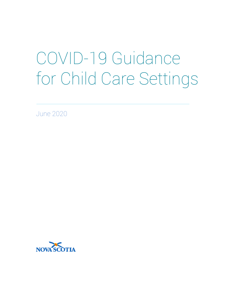# COVID-19 Guidance for Child Care Settings

June 2020

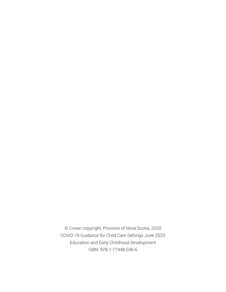© Crown copyright, Province of Nova Scotia, 2020 COVID-19 Guidance for Child Care Settings June 2020 Education and Early Childhood Development ISBN: 978-1-77448-036-6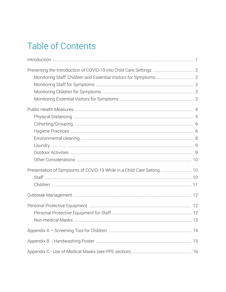# Table of Contents

| Presentation of Symptoms of COVID 19 While in a Child Care Setting  10 |  |
|------------------------------------------------------------------------|--|
|                                                                        |  |
|                                                                        |  |
|                                                                        |  |
|                                                                        |  |
|                                                                        |  |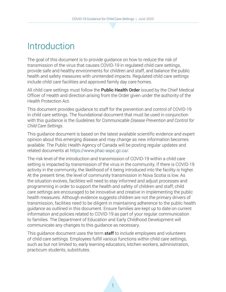# Introduction

The goal of this document is to provide guidance on how to reduce the risk of transmission of the virus that causes COVID-19 in regulated child care settings, provide safe and healthy environments for children and staff, and balance the public health and safety measures with unintended impacts. Regulated child care settings include child care facilities and approved family day care homes.

All child care settings must follow the **Public Health Order** issued by the Chief Medical Officer of Health and direction arising from the Order given under the authority of the Health Protection Act.

This document provides guidance to staff for the prevention and control of COVID-19 in child care settings. The foundational document that must be used in conjunction with this guidance is the *Guidelines for Communicable Disease Prevention and Control for Child Care Settings*.

This guidance document is based on the latest available scientific evidence and expert opinion about this emerging disease and may change as new information becomes available. The Public Health Agency of Canada will be posting regular updates and related documents at https://www.phac-aspc.gc.ca/.

The risk level of the introduction and transmission of COVID-19 within a child care setting is impacted by transmission of the virus in the community. If there is COVID-19 activity in the community, the likelihood of it being introduced into the facility is higher. At the present time, the level of community transmission in Nova Scotia is low. As the situation evolves, facilities will need to stay informed and adjust processes and programming in order to support the health and safety of children and staff; child care settings are encouraged to be innovative and creative in implementing the public health measures. Although evidence suggests children are not the primary drivers of transmission, facilities need to be diligent in maintaining adherence to the public health guidance as outlined in this document. Ensure families are kept up to date on current information and policies related to COVID-19 as part of your regular communication to families. The Department of Education and Early Childhood Development will communicate any changes to this guidance as necessary.

This guidance document uses the term **staff** to include employees and volunteers of child care settings. Employees fulfill various functions within child care settings, such as but not limited to, early learning educators, kitchen workers, administration, practicum students, substitutes.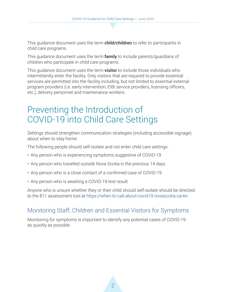This guidance document uses the term **child/children** to refer to participants in child care programs.

This guidance document uses the term **family** to include parents/guardians of children who participate in child care programs.

This guidance document uses the term **visitor** to include those individuals who intermittently enter the facility. Only visitors that are required to provide essential services are permitted into the facility including, but not limited to essential external program providers (i.e. early intervention, EIBI service providers, licensing officers, etc.), delivery personnel and maintenance workers.

## Preventing the Introduction of COVID-19 into Child Care Settings

Settings should strengthen communication strategies (including accessible signage) about when to stay home.

The following people should self-isolate and not enter child care settings:

- Any person who is experiencing symptoms suggestive of COVID-19
- Any person who travelled outside Nova Scotia in the previous 14 days
- Any person who is a close contact of a confirmed case of COVID-19
- Any person who is awaiting a COVID-19 test result

Anyone who is unsure whether they or their child should self-isolate should be directed to the 811 assessment tool at https://when-to-call-about-covid19.novascotia.ca/en

#### Monitoring Staff, Children and Essential Visitors for Symptoms

Monitoring for symptoms is important to identify any potential cases of COVID-19 as quickly as possible.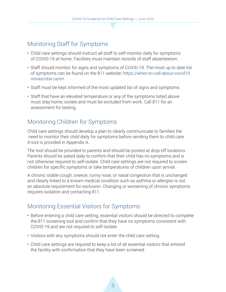#### Monitoring Staff for Symptoms

- Child care settings should instruct all staff to self-monitor daily for symptoms of COVID-19 at home. Facilities must maintain records of staff absenteeism.
- Staff should monitor for signs and symptoms of COVID-19. The most up to date list of symptoms can be found on the 811 website: https://when-to-call-about-covid19. novascotia.ca/en
- Staff must be kept informed of the most updated list of signs and symptoms.
- Staff that have an elevated temperature or any of the symptoms listed above must stay home, isolate and must be excluded from work. Call 811 for an assessment for testing.

#### Monitoring Children for Symptoms

Child care settings should develop a plan to clearly communicate to families the need to monitor their child daily for symptoms before sending them to child care. A tool is provided in Appendix A.

The tool should be provided to parents and should be posted at drop-off locations. Parents should be asked daily to confirm that their child has no symptoms and is not otherwise required to self-isolate. Child care settings are not required to screen children for specific symptoms or take temperatures of children upon arrival.

A chronic stable cough, sneeze, runny nose, or nasal congestion that is unchanged and clearly linked to a known medical condition such as asthma or allergies is not an absolute requirement for exclusion. Changing or worsening of chronic symptoms requires isolation and contacting 811.

#### Monitoring Essential Visitors for Symptoms

- Before entering a child care setting, essential visitors should be directed to complete the 811 screening tool and confirm that they have no symptoms consistent with COVID-19 and are not required to self-isolate.
- Visitors with any symptoms should not enter the child care setting.
- Child care settings are required to keep a list of all essential visitors that entered the facility with confirmation that they have been screened.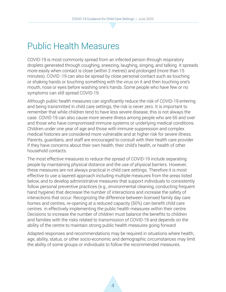# Public Health Measures

COVID-19 is most commonly spread from an infected person through respiratory droplets generated through coughing, sneezing, laughing, singing, and talking. It spreads more easily when contact is close (within 2 metres) and prolonged (more than 15 minutes). COVID -19 can also be spread by close personal contact such as touching or shaking hands or touching something with the virus on it and then touching one's mouth, nose or eyes before washing one's hands. Some people who have few or no symptoms can still spread COVID-19.

Although public health measures can significantly reduce the risk of COVID-19 entering and being transmitted in child care settings, the risk is never zero. It is important to remember that while children tend to have less severe disease, this is not always the case. COVID-19 can also cause more severe illness among people who are 65 and over and those who have compromised immune systems or underlying medical conditions. Children under one year of age and those with immune suppression and complex medical histories are considered more vulnerable and at higher risk for severe illness. Parents, guardians, and staff are encouraged to consult with their health care provider if they have concerns about their own health, their child's health, or health of other household contacts.

The most effective measures to reduce the spread of COVID-19 include separating people by maintaining physical distance and the use of physical barriers. However, these measures are not always practical in child care settings. Therefore it is most effective to use a layered approach including multiple measures from the areas listed below, and to develop administrative measures that support individuals to consistently follow personal preventive practices (e.g., environmental cleaning, conducting frequent hand hygiene) that decrease the number of interactions and increase the safety of interactions that occur. Recognizing the difference between licensed family day care homes and centres, re-opening at a reduced capacity (50%) can benefit child care centres in effectively implementing the public health measures within their centre. Decisions to increase the number of children must balance the benefits to children and families with the risks related to transmission of COVID-19 and depends on the ability of the centre to maintain strong public health measures going forward

Adapted responses and recommendations may be required in situations where health, age, ability, status, or other socio-economic and demographic circumstances may limit the ability of some groups or individuals to follow the recommended measures.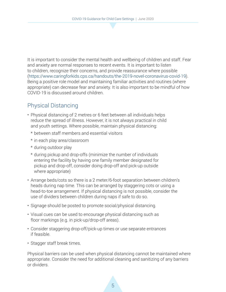It is important to consider the mental health and wellbeing of children and staff. Fear and anxiety are normal responses to recent events. It is important to listen to children, recognize their concerns, and provide reassurance where possible (https://www.caringforkids.cps.ca/handouts/the-2019-novel-coronavirus-covid-19). Being a positive role model and maintaining familiar activities and routines (where appropriate) can decrease fear and anxiety. It is also important to be mindful of how COVID-19 is discussed around children.

#### Physical Distancing

- Physical distancing of 2 metres or 6 feet between all individuals helps reduce the spread of illness. However, it is not always practical in child and youth settings. Where possible, maintain physical distancing:
	- \* between staff members and essential visitors
	- \* in each play area/classroom
	- \* during outdoor play
	- \* during pickup and drop-offs (minimize the number of individuals entering the facility by having one family member designated for pickup and drop-off, consider doing drop-off and pick-up outside where appropriate)
- Arrange beds/cots so there is a 2 meter/6-foot separation between children's heads during nap time. This can be arranged by staggering cots or using a head-to-toe arrangement. If physical distancing is not possible, consider the use of dividers between children during naps if safe to do so.
- Signage should be posted to promote social/physical distancing.
- Visual cues can be used to encourage physical distancing such as floor markings (e.g. in pick-up/drop-off areas).
- Consider staggering drop-off/pick-up times or use separate entrances if feasible.
- Stagger staff break times.

Physical barriers can be used when physical distancing cannot be maintained where appropriate. Consider the need for additional cleaning and sanitizing of any barriers or dividers.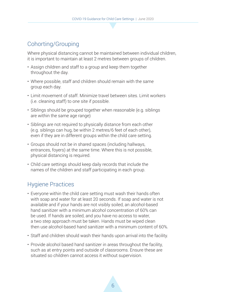#### Cohorting/Grouping

Where physical distancing cannot be maintained between individual children, it is important to maintain at least 2 metres between groups of children.

- Assign children and staff to a group and keep them together throughout the day.
- Where possible, staff and children should remain with the same group each day.
- Limit movement of staff. Minimize travel between sites. Limit workers (i.e. cleaning staff) to one site if possible.
- Siblings should be grouped together when reasonable (e.g. siblings are within the same age range)
- Siblings are not required to physically distance from each other (e.g. siblings can hug, be within 2 metres/6 feet of each other), even if they are in different groups within the child care setting.
- Groups should not be in shared spaces (including hallways, entrances, foyers) at the same time. Where this is not possible, physical distancing is required.
- Child care settings should keep daily records that include the names of the children and staff participating in each group.

#### Hygiene Practices

- Everyone within the child care setting must wash their hands often with soap and water for at least 20 seconds. If soap and water is not available and if your hands are not visibly soiled, an alcohol-based hand sanitizer with a minimum alcohol concentration of 60% can be used. If hands are soiled, and you have no access to water, a two step approach must be taken. Hands must be wiped clean then use alcohol-based hand sanitizer with a minimum content of 60%.
- Staff and children should wash their hands upon arrival into the facility.
- Provide alcohol based hand sanitizer in areas throughout the facility, such as at entry points and outside of classrooms. Ensure these are situated so children cannot access it without supervision.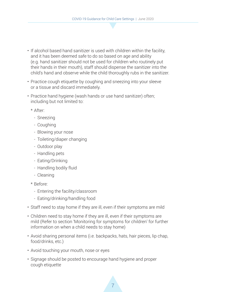- If alcohol based hand sanitizer is used with children within the facility, and it has been deemed safe to do so based on age and ability (e.g. hand sanitizer should not be used for children who routinely put their hands in their mouth), staff should dispense the sanitizer into the child's hand and observe while the child thoroughly rubs in the sanitizer.
- Practice cough etiquette by coughing and sneezing into your sleeve or a tissue and discard immediately.
- Practice hand hygiene (wash hands or use hand sanitizer) often; including but not limited to:
	- \* After:
		- Sneezing
		- Coughing
		- Blowing your nose
		- Toileting/diaper changing
		- Outdoor play
		- Handling pets
		- Eating/Drinking
		- Handling bodily fluid
		- Cleaning
	- \* Before:
		- Entering the facility/classroom
		- Eating/drinking/handling food
- Staff need to stay home if they are ill, even if their symptoms are mild
- Children need to stay home if they are ill, even if their symptoms are mild (Refer to section 'Monitoring for symptoms for children' for further information on when a child needs to stay home)
- Avoid sharing personal items (i.e. backpacks, hats, hair pieces, lip chap, food/drinks, etc.)
- Avoid touching your mouth, nose or eyes
- Signage should be posted to encourage hand hygiene and proper cough etiquette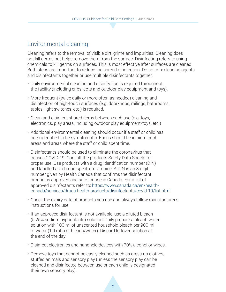#### Environmental cleaning

Cleaning refers to the removal of visible dirt, grime and impurities. Cleaning does not kill germs but helps remove them from the surface. Disinfecting refers to using chemicals to kill germs on surfaces. This is most effective after surfaces are cleaned. Both steps are important to reduce the spread of infection. Do not mix cleaning agents and disinfectants together or use multiple disinfectants together.

- Daily environmental cleaning and disinfection is required throughout the facility (including cribs, cots and outdoor play equipment and toys).
- More frequent (twice daily or more often as needed) cleaning and disinfection of high-touch surfaces (e.g. doorknobs, railings, bathrooms, tables, light switches, etc.) is required.
- Clean and disinfect shared items between each use (e.g. toys, electronics, play areas, including outdoor play equipment/toys, etc.)
- Additional environmental cleaning should occur if a staff or child has been identified to be symptomatic. Focus should be in high-touch areas and areas where the staff or child spent time.
- Disinfectants should be used to eliminate the coronavirus that causes COVID-19. Consult the products Safety Data Sheets for proper use. Use products with a drug identification number (DIN) and labelled as a broad-spectrum virucide. A DIN is an 8-digit number given by Health Canada that confirms the disinfectant product is approved and safe for use in Canada. For a list of approved disinfectants refer to: https://www.canada.ca/en/healthcanada/services/drugs-health-products/disinfectants/covid-19/list.html
- Check the expiry date of products you use and always follow manufacturer's instructions for use
- If an approved disinfectant is not available, use a diluted bleach (5.25% sodium hypochlorite) solution: Daily prepare a bleach water solution with 100 ml of unscented household bleach per 900 ml of water (1:9 ratio of bleach/water). Discard leftover solution at the end of the day.
- Disinfect electronics and handheld devices with 70% alcohol or wipes.
- Remove toys that cannot be easily cleaned such as dress-up clothes, stuffed animals and sensory play (unless the sensory play can be cleaned and disinfected between use or each child is designated their own sensory play).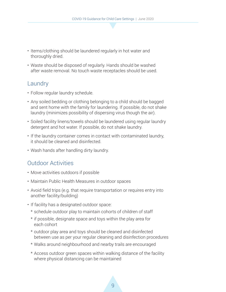- Items/clothing should be laundered regularly in hot water and thoroughly dried.
- Waste should be disposed of regularly. Hands should be washed after waste removal. No touch waste receptacles should be used.

#### Laundry

- Follow regular laundry schedule.
- Any soiled bedding or clothing belonging to a child should be bagged and sent home with the family for laundering. If possible, do not shake laundry (minimizes possibility of dispersing virus though the air).
- Soiled facility linens/towels should be laundered using regular laundry detergent and hot water. If possible, do not shake laundry.
- If the laundry container comes in contact with contaminated laundry, it should be cleaned and disinfected.
- Wash hands after handling dirty laundry.

#### Outdoor Activities

- Move activities outdoors if possible
- Maintain Public Health Measures in outdoor spaces
- Avoid field trips (e.g. that require transportation or requires entry into another facility/building)
- If facility has a designated outdoor space:
	- \* schedule outdoor play to maintain cohorts of children of staff
	- \* if possible, designate space and toys within the play area for each cohort
	- \* outdoor play area and toys should be cleaned and disinfected between use as per your regular cleaning and disinfection procedures
	- \* Walks around neighbourhood and nearby trails are encouraged
	- \* Access outdoor green spaces within walking distance of the facility where physical distancing can be maintained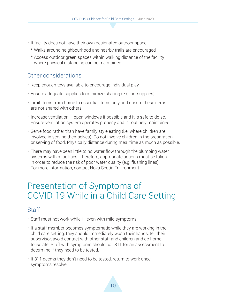- If facility does not have their own designated outdoor space:
	- \* Walks around neighbourhood and nearby trails are encouraged
	- \* Access outdoor green spaces within walking distance of the facility where physical distancing can be maintained

#### Other considerations

- Keep enough toys available to encourage individual play
- Ensure adequate supplies to minimize sharing (e.g. art supplies)
- Limit items from home to essential items only and ensure these items are not shared with others
- Increase ventilation open windows if possible and it is safe to do so. Ensure ventilation system operates properly and is routinely maintained.
- Serve food rather than have family style eating (i.e. where children are involved in serving themselves). Do not involve children in the preparation or serving of food. Physically distance during meal time as much as possible.
- There may have been little to no water flow through the plumbing water systems within facilities. Therefore, appropriate actions must be taken in order to reduce the risk of poor water quality (e.g. flushing lines). For more information, contact Nova Scotia Environment.

# Presentation of Symptoms of COVID-19 While in a Child Care Setting

#### **Staff**

- Staff must not work while ill, even with mild symptoms.
- If a staff member becomes symptomatic while they are working in the child care setting, they should immediately wash their hands, tell their supervisor, avoid contact with other staff and children and go home to isolate. Staff with symptoms should call 811 for an assessment to determine if they need to be tested.
- If 811 deems they don't need to be tested, return to work once symptoms resolve.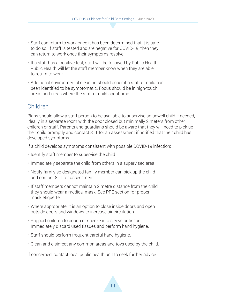- Staff can return to work once it has been determined that it is safe to do so. If staff is tested and are negative for COVID-19, then they can return to work once their symptoms resolve.
- If a staff has a positive test, staff will be followed by Public Health. Public Health will let the staff member know when they are able to return to work.
- Additional environmental cleaning should occur if a staff or child has been identified to be symptomatic. Focus should be in high-touch areas and areas where the staff or child spent time.

#### Children

Plans should allow a staff person to be available to supervise an unwell child if needed, ideally in a separate room with the door closed but minimally 2 meters from other children or staff. Parents and guardians should be aware that they will need to pick up their child promptly and contact 811 for an assessment if notified that their child has developed symptoms.

If a child develops symptoms consistent with possible COVID-19 infection:

- Identify staff member to supervise the child
- Immediately separate the child from others in a supervised area
- Notify family so designated family member can pick up the child and contact 811 for assessment
- If staff members cannot maintain 2 metre distance from the child, they should wear a medical mask. See PPE section for proper mask etiquette.
- Where appropriate, it is an option to close inside doors and open outside doors and windows to increase air circulation
- Support children to cough or sneeze into sleeve or tissue. Immediately discard used tissues and perform hand hygiene.
- Staff should perform frequent careful hand hygiene.
- Clean and disinfect any common areas and toys used by the child.

If concerned, contact local public health unit to seek further advice.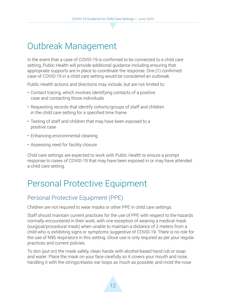# Outbreak Management

In the event that a case of COVID-19 is confirmed to be connected to a child care setting, Public Health will provide additional guidance including ensuring that appropriate supports are in place to coordinate the response. One (1) confirmed case of COVID-19 in a child care setting would be considered an outbreak.

Public Health actions and directions may include, but are not limited to:

- Contact tracing, which involves identifying contacts of a positive case and contacting those individuals
- Requesting records that identify cohorts/groups of staff and children in the child care setting for a specified time frame
- Testing of staff and children that may have been exposed to a positive case
- Enhancing environmental cleaning
- Assessing need for facility closure

Child care settings are expected to work with Public Health to ensure a prompt response to cases of COVID-19 that may have been exposed in or may have attended a child care setting.

# Personal Protective Equipment

#### Personal Protective Equipment (PPE)

Children are not required to wear masks or other PPE in child care settings.

Staff should maintain current practices for the use of PPE with respect to the hazards normally encountered in their work, with one exception of wearing a medical mask (surgical/procedural mask) when unable to maintain a distance of 2 meters from a child who is exhibiting signs or symptoms suggestive of COVID-19. There is no role for the use of N95 respirators in this setting. Glove use is only required as per your regular practices and current policies.

To don (put on) the mask safely, clean hands with alcohol-based hand rub or soap and water. Place the mask on your face carefully so it covers your mouth and nose, handling it with the strings/elastic ear loops as much as possible, and mold the nose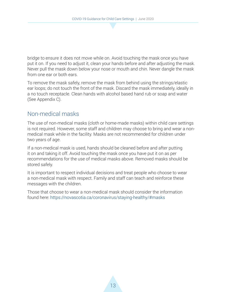bridge to ensure it does not move while on. Avoid touching the mask once you have put it on. If you need to adjust it, clean your hands before and after adjusting the mask. Never pull the mask down below your nose or mouth and chin. Never dangle the mask from one ear or both ears.

To remove the mask safely, remove the mask from behind using the strings/elastic ear loops; do not touch the front of the mask. Discard the mask immediately, ideally in a no touch receptacle. Clean hands with alcohol based hand rub or soap and water (See Appendix C).

#### Non-medical masks

The use of non-medical masks (cloth or home-made masks) within child care settings is not required. However, some staff and children may choose to bring and wear a nonmedical mask while in the facility. Masks are not recommended for children under two years of age.

If a non-medical mask is used, hands should be cleaned before and after putting it on and taking it off. Avoid touching the mask once you have put it on as per recommendations for the use of medical masks above. Removed masks should be stored safely.

It is important to respect individual decisions and treat people who choose to wear a non-medical mask with respect. Family and staff can teach and reinforce these messages with the children.

Those that choose to wear a non-medical mask should consider the information found here: https://novascotia.ca/coronavirus/staying-healthy/#masks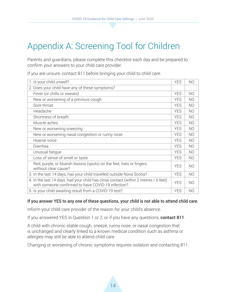# Appendix A: Screening Tool for Children

Parents and guardians, please complete this checklist each day and be prepared to confirm your answers to your child care provider.

If you are unsure, contact 811 before bringing your child to child care.

| 1. Is your child unwell?                                                                                                                  | <b>YES</b> | N <sub>O</sub> |
|-------------------------------------------------------------------------------------------------------------------------------------------|------------|----------------|
| 2. Does your child have any of these symptoms?                                                                                            |            |                |
| Fever (or chills or sweats)                                                                                                               | <b>YES</b> | N <sub>O</sub> |
| New or worsening of a previous cough                                                                                                      | <b>YES</b> | N <sub>O</sub> |
| Sore throat                                                                                                                               | <b>YES</b> | N <sub>O</sub> |
| Headache                                                                                                                                  | <b>YES</b> | N <sub>O</sub> |
| Shortness of breath                                                                                                                       | <b>YES</b> | N <sub>O</sub> |
| Muscle aches                                                                                                                              | <b>YES</b> | N <sub>O</sub> |
| New or worsening sneezing                                                                                                                 | <b>YES</b> | N <sub>O</sub> |
| New or worsening nasal congestion or runny nose                                                                                           | <b>YES</b> | N <sub>O</sub> |
| Hoarse voice                                                                                                                              | <b>YES</b> | N <sub>O</sub> |
| Diarrhea                                                                                                                                  | <b>YES</b> | N <sub>O</sub> |
| Unusual fatique                                                                                                                           | <b>YES</b> | N <sub>O</sub> |
| Loss of sense of smell or taste                                                                                                           | <b>YES</b> | N <sub>O</sub> |
| Red, purple, or blueish lesions (spots) on the feet, toes or fingers<br>without clear cause?                                              | <b>YES</b> | N <sub>O</sub> |
| 3. In the last 14 days, has your child travelled outside Nova Scotia?                                                                     | <b>YES</b> | N <sub>O</sub> |
| 4. In the last 14 days, had your child has close contact (within 2 metres / 6 feet)<br>with someone confirmed to have COVID-19 infection? | <b>YES</b> | N <sub>O</sub> |
| 5. Is your child awaiting result from a COVID-19 test?                                                                                    | <b>YES</b> | N <sub>O</sub> |

#### If you answer YES to any one of these questions, your child is not able to attend child care.

Inform your child care provider of the reason for your child's absence.

If you answered YES in Question 1 or 2, or if you have any questions, contact 811.

A child with chronic stable cough, sneeze, runny nose, or nasal congestion that is unchanged and clearly linked to a known medical condition such as asthma or allergies may still be able to attend child care.

Changing or worsening of chronic symptoms requires isolation and contacting 811.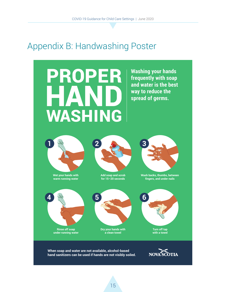# Appendix B: Handwashing Poster